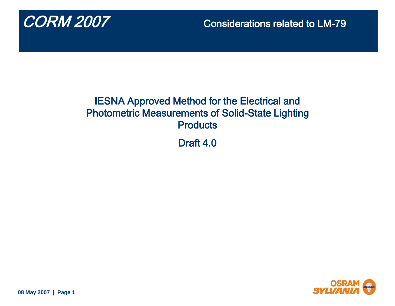

## IESNA Approved Method for the Electrical and Photometric Measurements of Solid-State Lighting **Products**

Draft 4.0



**08 May 2007 | Page 1**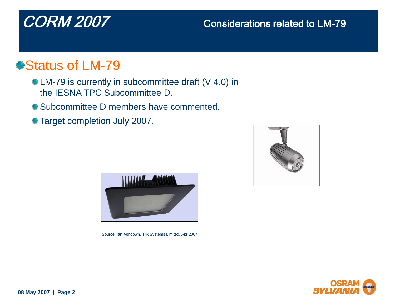# Status of LM-79

- **\* LM-79 is currently in subcommittee draft (V 4.0) in** the IESNA TPC Subcommittee D.
- **\*** Subcommittee D members have commented.
- Target completion July 2007.



Source: Ian Ashdown, TIR Systems Limited, Apr 2007



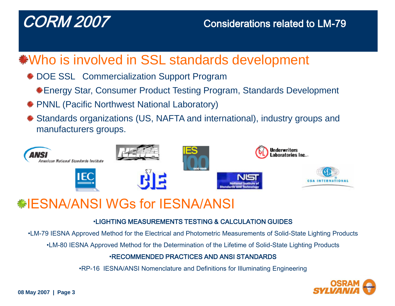# Who is involved in SSL standards development

- **\* DOE SSL Commercialization Support Program** 
	- Energy Star, Consumer Product Testing Program, Standards Development
- PNNL (Pacific Northwest National Laboratory)
- Standards organizations (US, NAFTA and international), industry groups and manufacturers groups.



# IESNA/ANSI WGs for IESNA/ANSI

### •LIGHTING MEASUREMENTS TESTING & CALCULATION GUIDES

•LM-79 IESNA Approved Method for the Electrical and Photometric Measurements of Solid-State Lighting Products

•LM-80 IESNA Approved Method for the Determination of the Lifetime of Solid-State Lighting Products

### •RECOMMENDED PRACTICES AND ANSI STANDARDS

•RP-16 IESNA/ANSI Nomenclature and Definitions for Illuminating Engineering

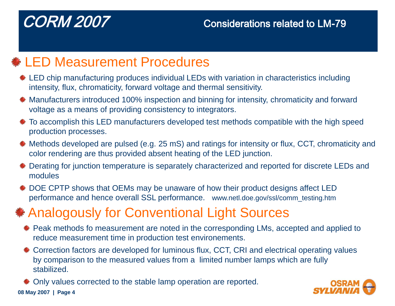# $\text{\textsterling}$  **LED Measurement Procedures**

- $*$  **LED** chip manufacturing produces individual LEDs with variation in characteristics including intensity, flux, chromaticity, forward voltage and thermal sensitivity.
- $\triangleq$  **Manufacturers introduced 100% inspection and binning for intensity, chromaticity and forward** voltage as a means of providing consistency to integrators.
- To accomplish this LED manufacturers developed test methods compatible with the high speed production processes.
- Methods developed are pulsed (e.g. 25 mS) and ratings for intensity or flux, CCT, chromaticity and color rendering are thus provided absent heating of the LED junction.
- $\triangleq$  **Derating for junction temperature is separately characterized and reported for discrete LEDs and** modules
- $\bullet$  **DOE CPTP shows that OEMs may be unaware of how their product designs affect LED** performance and hence overall SSL performance. www.netl.doe.gov/ssl/comm\_testing.htm

# Analogously for Conventional Light Sources

- **\*** Peak methods fo measurement are noted in the corresponding LMs, accepted and applied to reduce measurement time in production test environements.
- $*$  **Correction factors are developed for luminous flux, CCT, CRI and electrical operating values** by comparison to the measured values from a limited number lamps which are fully stabilized.

**08 May 2007 | Page 4** Only values corrected to the stable lamp operation are reported.

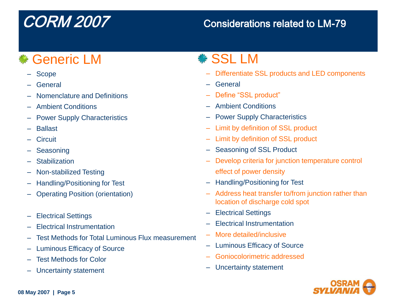# *<b>V* Generic LM

- Scope
- General
- Nomenclature and Definitions
- Ambient Conditions
- Power Supply Characteristics
- Ballast
- Circuit
- Seasoning
- Stabilization
- Non-stabilized Testing
- Handling/Positioning for Test
- Operating Position (orientation)
- Electrical Settings
- Electrical Instrumentation
- Test Methods for Total Luminous Flux measurement
- Luminous Efficacy of Source
- Test Methods for Color
- Uncertainty statement

# SSL LM

- Differentiate SSL products and LED components
- General
- Define "SSL product"
- Ambient Conditions
- Power Supply Characteristics
- Limit by definition of SSL product
- Limit by definition of SSL product
- Seasoning of SSL Product
- Develop criteria for junction temperature control effect of power density
- Handling/Positioning for Test
- Address heat transfer to/from junction rather than location of discharge cold spot
- Electrical Settings
- Electrical Instrumentation
- More detailed/inclusive
- Luminous Efficacy of Source
- Goniocolorimetric addressed
- Uncertainty statement

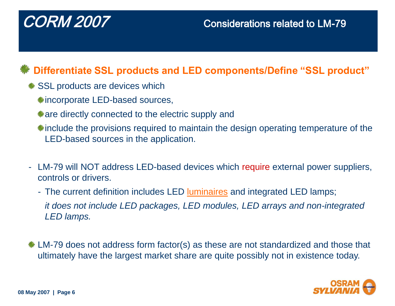## **Differentiate SSL products and LED components/Define "SSL product"**

- **SSL products are devices which** 
	- **\*incorporate LED-based sources,**
	- **\*are directly connected to the electric supply and**
	- **\*include the provisions required to maintain the design operating temperature of the** LED-based sources in the application.
- LM-79 will NOT address LED-based devices which require external power suppliers, controls or drivers.
	- The current definition includes LED [luminaires](#page-10-0) and integrated LED lamps; *it does not include LED packages, LED modules, LED arrays and non-integrated LED lamps.*
- **\*** LM-79 does not address form factor(s) as these are not standardized and those that ultimately have the largest market share are quite possibly not in existence today.

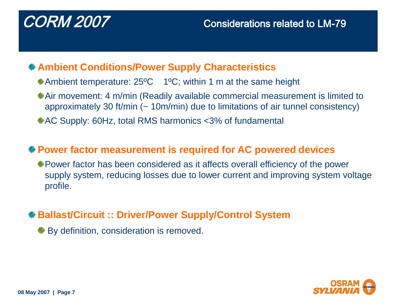## **Ambient Conditions/Power Supply Characteristics**

- **\*Ambient temperature: 25°C** 1°C; within 1 m at the same height
- Air movement: 4 m/min (Readily available commercial measurement is limited to approximately 30 ft/min  $($  - 10m/min) due to limitations of air tunnel consistency
- AC Supply: 60Hz, total RMS harmonics <3% of fundamental

## **Power factor measurement is required for AC powered devices**

Power factor has been considered as it affects overall efficiency of the power supply system, reducing losses due to lower current and improving system voltage profile.

## **Ballast/Circuit :: Driver/Power Supply/Control System**

 $*$  **By definition, consideration is removed.** 

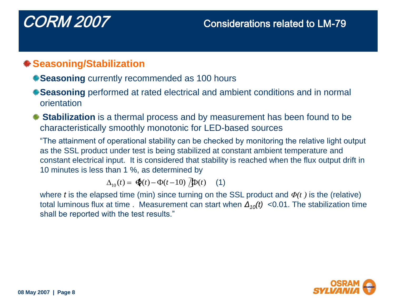## **Seasoning/Stabilization**

- **Seasoning** currently recommended as 100 hours
- **Seasoning** performed at rated electrical and ambient conditions and in normal orientation
- **Stabilization** is a thermal process and by measurement has been found to be characteristically smoothly monotonic for LED-based sources

"The attainment of operational stability can be checked by monitoring the relative light output as the SSL product under test is being stabilized at constant ambient temperature and constant electrical input. It is considered that stability is reached when the flux output drift in 10 minutes is less than 1 %, as determined by

 $_{10}(t) = \oint_t^t(t) - \Phi(t-10) \oint_t^t(t)$  (1)

where *t* is the elapsed time (min) since turning on the SSL product and *Φ(t )* is the (relative) total luminous flux at time . Measurement can start when *Δ10(t)* <0.01. The stabilization time shall be reported with the test results."

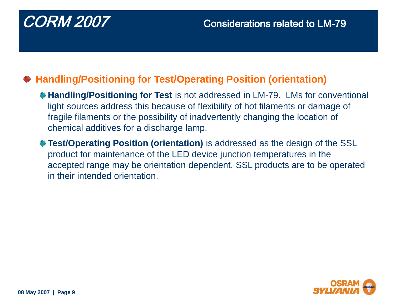## **Handling/Positioning for Test/Operating Position (orientation)**

- **Handling/Positioning for Test** is not addressed in LM-79. LMs for conventional light sources address this because of flexibility of hot filaments or damage of fragile filaments or the possibility of inadvertently changing the location of chemical additives for a discharge lamp.
- **Test/Operating Position (orientation)** is addressed as the design of the SSL product for maintenance of the LED device junction temperatures in the accepted range may be orientation dependent. SSL products are to be operated in their intended orientation.

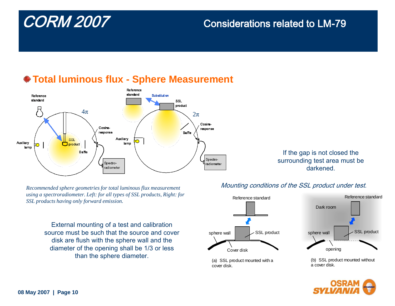

## **Total luminous flux - Sphere Measurement**

If the gap is not closed the surrounding test area must be darkened.

*Recommended sphere geometries for total luminous flux measurement using a spectroradiometer. Left: for all types of SSL products, Right: for SSL products having only forward emission.*

> External mounting of a test and calibration source must be such that the source and cover disk are flush with the sphere wall and the diameter of the opening shall be 1/3 or less than the sphere diameter.

### Mounting conditions of the SSL product under test.



(a) SSL product mounted with a cover disk.



(b) SSL product mounted without a cover disk.

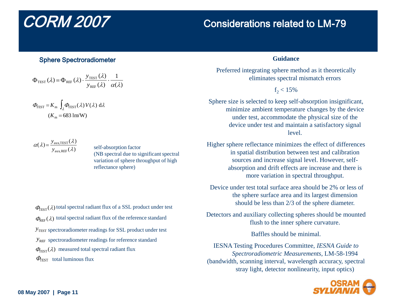### Sphere Spectroradiometer

$$
\Phi_{\text{TEST}}\left(\lambda\right) = \Phi_{\text{REF}}\left(\lambda\right) \cdot \frac{y_{\text{TEST}}\left(\lambda\right)}{y_{\text{REF}}\left(\lambda\right)} \cdot \frac{1}{\alpha(\lambda)}
$$

$$
\Phi_{\text{TEST}} = K_{\text{m}} \int_{\lambda} \Phi_{\text{TEST}}(\lambda) V(\lambda) \, d\lambda
$$

$$
(K_{\text{m}} = 683 \, \text{lm/W})
$$

 $(\lambda) = \frac{y_{\text{aux,TEST}}(\lambda)}{(\lambda)}$  $y_{\text{aux},\text{REF}}(\lambda)$ 

self-absorption factor (NB spectral due to significant spectral variation of sphere throughput of high reflectance sphere)

<span id="page-10-0"></span> $\Phi_{\text{TEST}}(\lambda)$  measured total spectral radiant flux  $y$ <sub>TEST</sub> spectroradiometer readings for SSL product under test  $y_{RF}$  spectroradiometer readings for reference standard  $\Phi_{\text{TEST}}(\lambda)$  total spectral radiant flux of a SSL product under test  $\Phi_{\text{REF}}(\lambda)$  total spectral radiant flux of the reference standard  $\varPhi_{\text{TEST}}$  total luminous flux

# CORM 2007 Considerations related to LM-79

### **Guidance**

Preferred integrating sphere method as it theoretically eliminates spectral mismatch errors

### $f_2 < 15\%$

Sphere size is selected to keep self-absorption insignificant, minimize ambient temperature changes by the device under test, accommodate the physical size of the device under test and maintain a satisfactory signal level.

Higher sphere reflectance minimizes the effect of differences in spatial distribution between test and calibration sources and increase signal level. However, selfabsorption and drift effects are increase and there is more variation in spectral throughput.

Device under test total surface area should be 2% or less of the sphere surface area and its largest dimension should be less than 2/3 of the sphere diameter.

Detectors and auxiliary collecting spheres should be mounted flush to the inner sphere curvature.

Baffles should be minimal.

IESNA Testing Procedures Committee, *IESNA Guide to Spectroradiometric Measurements*, LM-58-1994 (bandwidth, scanning interval, wavelength accuracy, spectral stray light, detector nonlinearity, input optics)

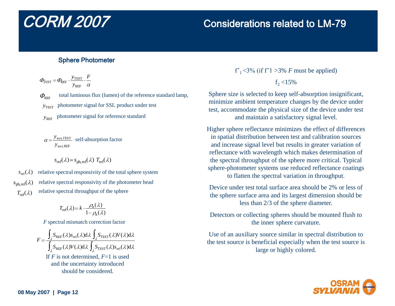### Sphere Photometer

$$
\Phi_{\text{TEST}} = \Phi_{\text{REF}} \cdot \frac{y_{\text{TEST}}}{y_{\text{REF}}} \cdot \frac{F}{\alpha}
$$

 $\varPhi_{\tiny{\textrm{REF}}}$  $y$ <sub>TEST</sub> total luminous flux (lumen) of the reference standard lamp, photometer signal for SSL product under test

 *y*REF photometer signal for reference standard

$$
\alpha = \frac{y_{\text{aux, TEST}}}{y_{\text{aux,REF}}}
$$
 self-absorption factor

$$
s_{\text{rel}}(\lambda) = s_{\text{ph},\text{rel}}(\lambda) T_{\text{rel}}(\lambda)
$$

relative spectral responsivity of the total sphere system  $s_{\text{rel}}(\lambda)$  $s_{\text{ph},\text{rel}}(\lambda)$  $T_{\text{rel}}(\lambda)$ relative spectral responsivity of the photometer head relative spectral throughput of the sphere

$$
T_{\text{rel}}(\lambda) = k \cdot \frac{\rho_{\text{a}}(\lambda)}{1 - \rho_{\text{a}}(\lambda)}
$$

*F* spectral mismatch correction factor

$$
F = \frac{\int_{\lambda} S_{\text{REF}}(\lambda) s_{\text{rel}}(\lambda) d\lambda \int_{\lambda} S_{\text{TEST}}(\lambda) V(\lambda) d\lambda}{\int_{\lambda} S_{\text{REF}}(\lambda) V(\lambda) d\lambda \int_{\lambda} S_{\text{TEST}}(\lambda) s_{\text{rel}}(\lambda) d\lambda}
$$
  
If *F* is not determined, *F*=1 is used  
and the uncertainty introduced  
should be considered.

### f'<sub>1</sub> $<$ 3% (if f'1 $>$ 3% *F* must be applied)

 $f_2 < 15\%$ 

Sphere size is selected to keep self-absorption insignificant, minimize ambient temperature changes by the device under test, accommodate the physical size of the device under test and maintain a satisfactory signal level.

Higher sphere reflectance minimizes the effect of differences in spatial distribution between test and calibration sources and increase signal level but results in greater variation of reflectance with wavelength which makes determination of the spectral throughput of the sphere more critical. Typical sphere-photometer systems use reduced reflectance coatings to flatten the spectral variation in throughput.

Device under test total surface area should be 2% or less of the sphere surface area and its largest dimension should be less than 2/3 of the sphere diameter.

Detectors or collecting spheres should be mounted flush to the inner sphere curvature.

Use of an auxiliary source similar in spectral distribution to the test source is beneficial especially when the test source is large or highly colored.

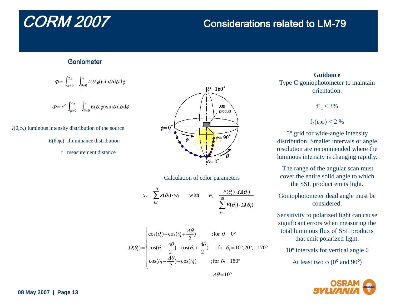### **Goniometer**

$$
\varPhi {\rm{ = }}\int\nolimits_{\phi = 0}^{2\pi } {\int\nolimits_{\theta = 0}^\pi {I(\theta ,\phi )\sin \theta \,{\rm{d}}\theta {\rm{d}}\phi } }
$$

$$
\Phi = r^2 \int_{\phi=0}^{2\pi} \int_{\theta=0}^{\pi} E(\theta, \phi) \sin \theta \, d\theta \, d\phi
$$

*I*( $θ$ , $φ$ ,) luminous intensity distribution of the source

- *E*( $θ$ , $φ$ ,) illuminance distribution
	- r measurement distance



Calculation of color parameters

$$
x_a = \sum_{i=1}^{19} x(\theta_i) \cdot w_i \qquad \text{with} \qquad w_i = \frac{E(\theta_i) \cdot \Omega(\theta_i)}{\sum_{i=1}^{19} E(\theta_i) \cdot \Omega(\theta_i)}
$$

$$
\Omega(\theta_i) = \begin{cases}\n\cos(\theta_i) - \cos(\theta_i + \frac{\Delta\theta}{2}) & \text{;for } \theta_i = 0^\circ \\
\cos(\theta_i - \frac{\Delta\theta}{2}) - \cos(\theta_i + \frac{\Delta\theta}{2}) & \text{;for } \theta_i = 10^\circ, 20^\circ, \dots 170^\circ \\
\cos(\theta_i - \frac{\Delta\theta}{2}) - \cos(\theta_i) & \text{;for } \theta_i = 180^\circ\n\end{cases}
$$

**Guidance** Type C goniophotometer to maintain orientation.

 $f'_1 < 3\%$ 

$$
f_2(\epsilon,\varphi)<2~\%
$$

5° grid for wide-angle intensity distribution. Smaller intervals or angle resolution are recommended where the luminous intensity is changing rapidly.

The range of the angular scan must cover the entire solid angle to which the SSL product emits light.

Goniophotometer dead angle must be considered.

Sensitivity to polarized light can cause significant errors when measuring the total luminous flux of SSL products that emit polarized light.

10<sup>°</sup> intervals for vertical angle θ

At least two  $\varphi$  (0<sup>o</sup> and 90<sup>o</sup>)